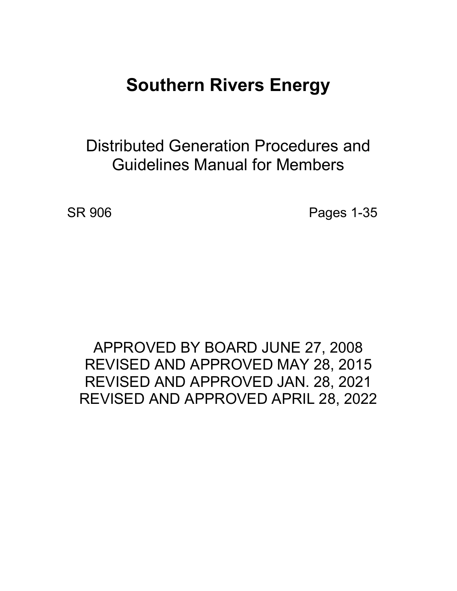# **Southern Rivers Energy**

Distributed Generation Procedures and Guidelines Manual for Members

SR 906 **Pages 1-35** 

# APPROVED BY BOARD JUNE 27, 2008 REVISED AND APPROVED MAY 28, 2015 REVISED AND APPROVED JAN. 28, 2021 REVISED AND APPROVED APRIL 28, 2022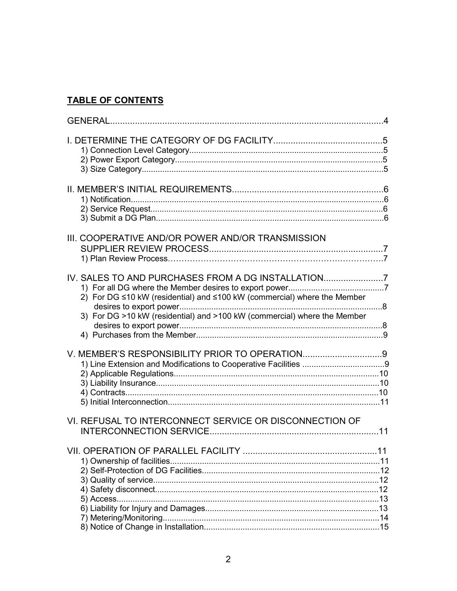# **TABLE OF CONTENTS**

| III. COOPERATIVE AND/OR POWER AND/OR TRANSMISSION                                                                                                                                                         |    |
|-----------------------------------------------------------------------------------------------------------------------------------------------------------------------------------------------------------|----|
| IV. SALES TO AND PURCHASES FROM A DG INSTALLATION<br>2) For DG ≤10 kW (residential) and ≤100 kW (commercial) where the Member<br>3) For DG >10 kW (residential) and >100 kW (commercial) where the Member |    |
| V. MEMBER'S RESPONSIBILITY PRIOR TO OPERATION9                                                                                                                                                            |    |
| VI. REFUSAL TO INTERCONNECT SERVICE OR DISCONNECTION OF                                                                                                                                                   | 11 |
|                                                                                                                                                                                                           |    |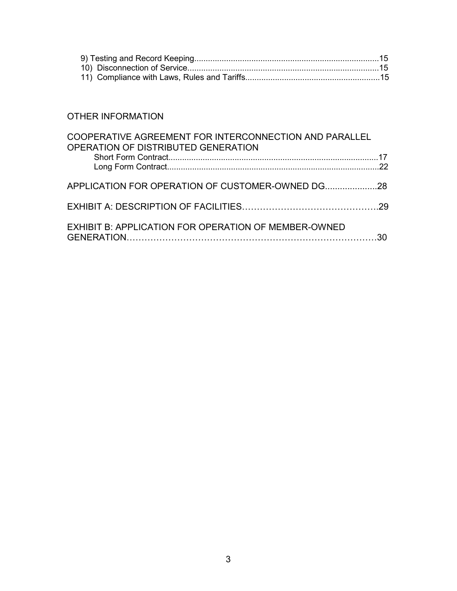# OTHER INFORMATION

| COOPERATIVE AGREEMENT FOR INTERCONNECTION AND PARALLEL<br>OPERATION OF DISTRIBUTED GENERATION |  |
|-----------------------------------------------------------------------------------------------|--|
|                                                                                               |  |
| APPLICATION FOR OPERATION OF CUSTOMER-OWNED DG28                                              |  |
|                                                                                               |  |
| EXHIBIT B: APPLICATION FOR OPERATION OF MEMBER-OWNED                                          |  |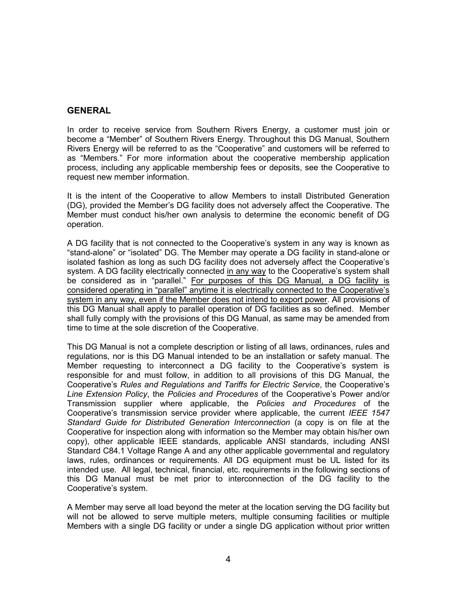# **GENERAL**

In order to receive service from Southern Rivers Energy, a customer must join or become a "Member" of Southern Rivers Energy. Throughout this DG Manual, Southern Rivers Energy will be referred to as the "Cooperative" and customers will be referred to as "Members." For more information about the cooperative membership application process, including any applicable membership fees or deposits, see the Cooperative to request new member information.

It is the intent of the Cooperative to allow Members to install Distributed Generation (DG), provided the Member's DG facility does not adversely affect the Cooperative. The Member must conduct his/her own analysis to determine the economic benefit of DG operation.

A DG facility that is not connected to the Cooperative's system in any way is known as "stand-alone" or "isolated" DG. The Member may operate a DG facility in stand-alone or isolated fashion as long as such DG facility does not adversely affect the Cooperative's system. A DG facility electrically connected in any way to the Cooperative's system shall be considered as in "parallel." For purposes of this DG Manual, a DG facility is considered operating in "parallel" anytime it is electrically connected to the Cooperative's system in any way, even if the Member does not intend to export power. All provisions of this DG Manual shall apply to parallel operation of DG facilities as so defined. Member shall fully comply with the provisions of this DG Manual, as same may be amended from time to time at the sole discretion of the Cooperative.

This DG Manual is not a complete description or listing of all laws, ordinances, rules and regulations, nor is this DG Manual intended to be an installation or safety manual. The Member requesting to interconnect a DG facility to the Cooperative's system is responsible for and must follow, in addition to all provisions of this DG Manual, the Cooperative's *Rules and Regulations and Tariffs for Electric Service*, the Cooperative's *Line Extension Policy*, the *Policies and Procedures* of the Cooperative's Power and/or Transmission supplier where applicable, the *Policies and Procedures* of the Cooperative's transmission service provider where applicable, the current *IEEE 1547 Standard Guide for Distributed Generation Interconnection* (a copy is on file at the Cooperative for inspection along with information so the Member may obtain his/her own copy), other applicable IEEE standards, applicable ANSI standards, including ANSI Standard C84.1 Voltage Range A and any other applicable governmental and regulatory laws, rules, ordinances or requirements. All DG equipment must be UL listed for its intended use. All legal, technical, financial, etc. requirements in the following sections of this DG Manual must be met prior to interconnection of the DG facility to the Cooperative's system.

A Member may serve all load beyond the meter at the location serving the DG facility but will not be allowed to serve multiple meters, multiple consuming facilities or multiple Members with a single DG facility or under a single DG application without prior written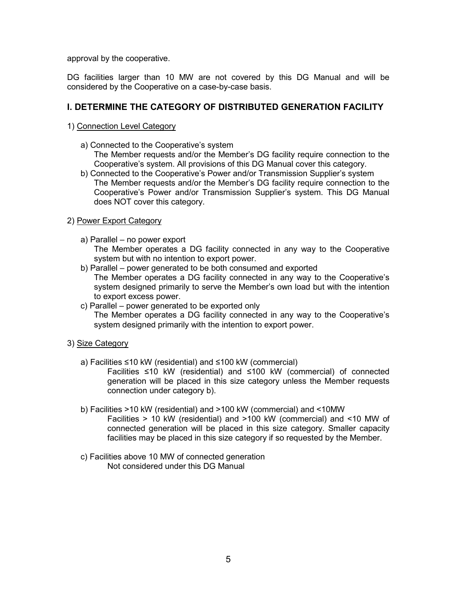approval by the cooperative.

DG facilities larger than 10 MW are not covered by this DG Manual and will be considered by the Cooperative on a case-by-case basis.

# **I. DETERMINE THE CATEGORY OF DISTRIBUTED GENERATION FACILITY**

#### 1) Connection Level Category

- a) Connected to the Cooperative's system The Member requests and/or the Member's DG facility require connection to the Cooperative's system. All provisions of this DG Manual cover this category.
- b) Connected to the Cooperative's Power and/or Transmission Supplier's system The Member requests and/or the Member's DG facility require connection to the Cooperative's Power and/or Transmission Supplier's system. This DG Manual does NOT cover this category.

## 2) Power Export Category

- a) Parallel no power export The Member operates a DG facility connected in any way to the Cooperative system but with no intention to export power.
- b) Parallel power generated to be both consumed and exported The Member operates a DG facility connected in any way to the Cooperative's system designed primarily to serve the Member's own load but with the intention to export excess power.
- c) Parallel power generated to be exported only The Member operates a DG facility connected in any way to the Cooperative's system designed primarily with the intention to export power.

## 3) Size Category

- a) Facilities ≤10 kW (residential) and ≤100 kW (commercial)
	- Facilities ≤10 kW (residential) and ≤100 kW (commercial) of connected generation will be placed in this size category unless the Member requests connection under category b).
- b) Facilities >10 kW (residential) and >100 kW (commercial) and <10MW Facilities > 10 kW (residential) and >100 kW (commercial) and <10 MW of connected generation will be placed in this size category. Smaller capacity facilities may be placed in this size category if so requested by the Member.
- c) Facilities above 10 MW of connected generation Not considered under this DG Manual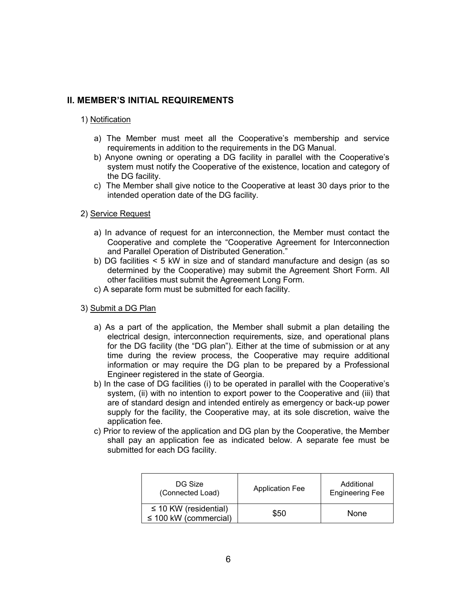# **II. MEMBER'S INITIAL REQUIREMENTS**

#### 1) Notification

- a) The Member must meet all the Cooperative's membership and service requirements in addition to the requirements in the DG Manual.
- b) Anyone owning or operating a DG facility in parallel with the Cooperative's system must notify the Cooperative of the existence, location and category of the DG facility.
- c) The Member shall give notice to the Cooperative at least 30 days prior to the intended operation date of the DG facility.

#### 2) Service Request

- a) In advance of request for an interconnection, the Member must contact the Cooperative and complete the "Cooperative Agreement for Interconnection and Parallel Operation of Distributed Generation."
- b) DG facilities < 5 kW in size and of standard manufacture and design (as so determined by the Cooperative) may submit the Agreement Short Form. All other facilities must submit the Agreement Long Form.
- c) A separate form must be submitted for each facility.

#### 3) Submit a DG Plan

- a) As a part of the application, the Member shall submit a plan detailing the electrical design, interconnection requirements, size, and operational plans for the DG facility (the "DG plan"). Either at the time of submission or at any time during the review process, the Cooperative may require additional information or may require the DG plan to be prepared by a Professional Engineer registered in the state of Georgia.
- b) In the case of DG facilities (i) to be operated in parallel with the Cooperative's system, (ii) with no intention to export power to the Cooperative and (iii) that are of standard design and intended entirely as emergency or back-up power supply for the facility, the Cooperative may, at its sole discretion, waive the application fee.
- c) Prior to review of the application and DG plan by the Cooperative, the Member shall pay an application fee as indicated below. A separate fee must be submitted for each DG facility.

| DG Size<br>(Connected Load)                              | <b>Application Fee</b> | Additional<br><b>Engineering Fee</b> |  |
|----------------------------------------------------------|------------------------|--------------------------------------|--|
| $\leq$ 10 KW (residential)<br>$\leq$ 100 kW (commercial) | \$50                   | None                                 |  |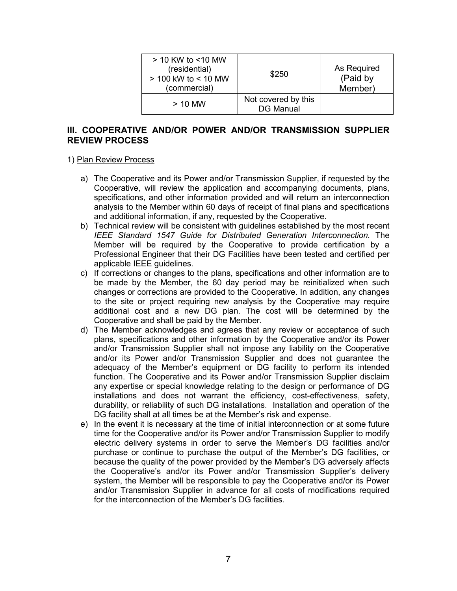| $>$ 10 KW to $<$ 10 MW<br>(residential)<br>> 100 kW to < 10 MW<br>(commercial) | \$250                                   | As Required<br>(Paid by<br>Member) |
|--------------------------------------------------------------------------------|-----------------------------------------|------------------------------------|
| $>$ 10 MW                                                                      | Not covered by this<br><b>DG Manual</b> |                                    |

# **III. COOPERATIVE AND/OR POWER AND/OR TRANSMISSION SUPPLIER REVIEW PROCESS**

#### 1) Plan Review Process

- a) The Cooperative and its Power and/or Transmission Supplier, if requested by the Cooperative, will review the application and accompanying documents, plans, specifications, and other information provided and will return an interconnection analysis to the Member within 60 days of receipt of final plans and specifications and additional information, if any, requested by the Cooperative.
- b) Technical review will be consistent with guidelines established by the most recent *IEEE Standard 1547 Guide for Distributed Generation Interconnection.* The Member will be required by the Cooperative to provide certification by a Professional Engineer that their DG Facilities have been tested and certified per applicable IEEE guidelines.
- c) If corrections or changes to the plans, specifications and other information are to be made by the Member, the 60 day period may be reinitialized when such changes or corrections are provided to the Cooperative. In addition, any changes to the site or project requiring new analysis by the Cooperative may require additional cost and a new DG plan. The cost will be determined by the Cooperative and shall be paid by the Member.
- d) The Member acknowledges and agrees that any review or acceptance of such plans, specifications and other information by the Cooperative and/or its Power and/or Transmission Supplier shall not impose any liability on the Cooperative and/or its Power and/or Transmission Supplier and does not guarantee the adequacy of the Member's equipment or DG facility to perform its intended function. The Cooperative and its Power and/or Transmission Supplier disclaim any expertise or special knowledge relating to the design or performance of DG installations and does not warrant the efficiency, cost-effectiveness, safety, durability, or reliability of such DG installations. Installation and operation of the DG facility shall at all times be at the Member's risk and expense.
- e) In the event it is necessary at the time of initial interconnection or at some future time for the Cooperative and/or its Power and/or Transmission Supplier to modify electric delivery systems in order to serve the Member's DG facilities and/or purchase or continue to purchase the output of the Member's DG facilities, or because the quality of the power provided by the Member's DG adversely affects the Cooperative's and/or its Power and/or Transmission Supplier's delivery system, the Member will be responsible to pay the Cooperative and/or its Power and/or Transmission Supplier in advance for all costs of modifications required for the interconnection of the Member's DG facilities.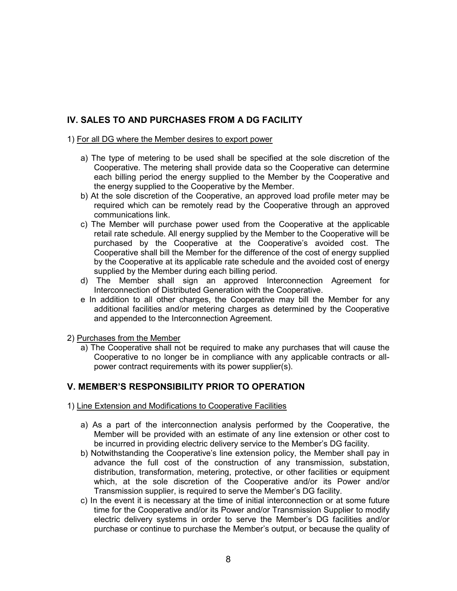# **IV. SALES TO AND PURCHASES FROM A DG FACILITY**

1) For all DG where the Member desires to export power

- a) The type of metering to be used shall be specified at the sole discretion of the Cooperative. The metering shall provide data so the Cooperative can determine each billing period the energy supplied to the Member by the Cooperative and the energy supplied to the Cooperative by the Member.
- b) At the sole discretion of the Cooperative, an approved load profile meter may be required which can be remotely read by the Cooperative through an approved communications link.
- c) The Member will purchase power used from the Cooperative at the applicable retail rate schedule. All energy supplied by the Member to the Cooperative will be purchased by the Cooperative at the Cooperative's avoided cost. The Cooperative shall bill the Member for the difference of the cost of energy supplied by the Cooperative at its applicable rate schedule and the avoided cost of energy supplied by the Member during each billing period.
- d) The Member shall sign an approved Interconnection Agreement for Interconnection of Distributed Generation with the Cooperative.
- e In addition to all other charges, the Cooperative may bill the Member for any additional facilities and/or metering charges as determined by the Cooperative and appended to the Interconnection Agreement.
- 2) Purchases from the Member
	- a) The Cooperative shall not be required to make any purchases that will cause the Cooperative to no longer be in compliance with any applicable contracts or allpower contract requirements with its power supplier(s).

# **V. MEMBER'S RESPONSIBILITY PRIOR TO OPERATION**

- 1) Line Extension and Modifications to Cooperative Facilities
	- a) As a part of the interconnection analysis performed by the Cooperative, the Member will be provided with an estimate of any line extension or other cost to be incurred in providing electric delivery service to the Member's DG facility.
	- b) Notwithstanding the Cooperative's line extension policy, the Member shall pay in advance the full cost of the construction of any transmission, substation, distribution, transformation, metering, protective, or other facilities or equipment which, at the sole discretion of the Cooperative and/or its Power and/or Transmission supplier, is required to serve the Member's DG facility.
	- c) In the event it is necessary at the time of initial interconnection or at some future time for the Cooperative and/or its Power and/or Transmission Supplier to modify electric delivery systems in order to serve the Member's DG facilities and/or purchase or continue to purchase the Member's output, or because the quality of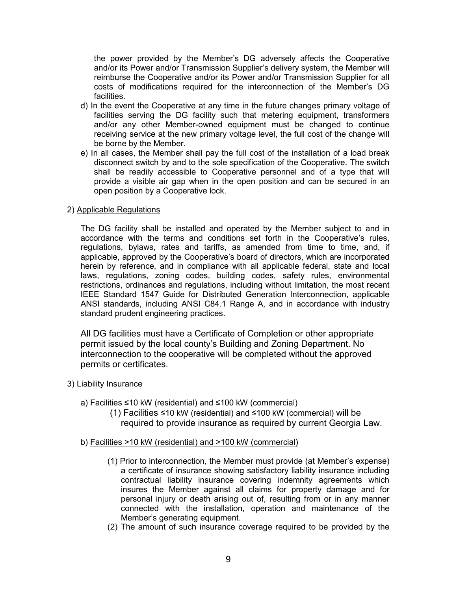the power provided by the Member's DG adversely affects the Cooperative and/or its Power and/or Transmission Supplier's delivery system, the Member will reimburse the Cooperative and/or its Power and/or Transmission Supplier for all costs of modifications required for the interconnection of the Member's DG facilities.

- d) In the event the Cooperative at any time in the future changes primary voltage of facilities serving the DG facility such that metering equipment, transformers and/or any other Member-owned equipment must be changed to continue receiving service at the new primary voltage level, the full cost of the change will be borne by the Member.
- e) In all cases, the Member shall pay the full cost of the installation of a load break disconnect switch by and to the sole specification of the Cooperative. The switch shall be readily accessible to Cooperative personnel and of a type that will provide a visible air gap when in the open position and can be secured in an open position by a Cooperative lock.

#### 2) Applicable Regulations

The DG facility shall be installed and operated by the Member subject to and in accordance with the terms and conditions set forth in the Cooperative's rules, regulations, bylaws, rates and tariffs, as amended from time to time, and, if applicable, approved by the Cooperative's board of directors, which are incorporated herein by reference, and in compliance with all applicable federal, state and local laws, regulations, zoning codes, building codes, safety rules, environmental restrictions, ordinances and regulations, including without limitation, the most recent IEEE Standard 1547 Guide for Distributed Generation Interconnection, applicable ANSI standards, including ANSI C84.1 Range A, and in accordance with industry standard prudent engineering practices.

All DG facilities must have a Certificate of Completion or other appropriate permit issued by the local county's Building and Zoning Department. No interconnection to the cooperative will be completed without the approved permits or certificates.

#### 3) Liability Insurance

- a) Facilities ≤10 kW (residential) and ≤100 kW (commercial)
	- (1) Facilities ≤10 kW (residential) and ≤100 kW (commercial) will be required to provide insurance as required by current Georgia Law.
- b) Facilities >10 kW (residential) and >100 kW (commercial)
	- (1) Prior to interconnection, the Member must provide (at Member's expense) a certificate of insurance showing satisfactory liability insurance including contractual liability insurance covering indemnity agreements which insures the Member against all claims for property damage and for personal injury or death arising out of, resulting from or in any manner connected with the installation, operation and maintenance of the Member's generating equipment.
	- (2) The amount of such insurance coverage required to be provided by the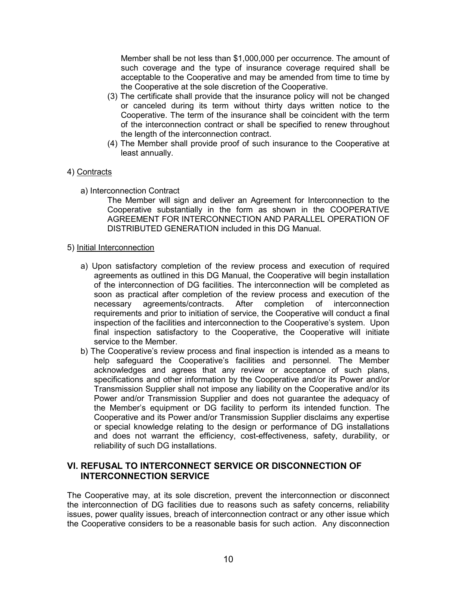Member shall be not less than \$1,000,000 per occurrence. The amount of such coverage and the type of insurance coverage required shall be acceptable to the Cooperative and may be amended from time to time by the Cooperative at the sole discretion of the Cooperative.

- (3) The certificate shall provide that the insurance policy will not be changed or canceled during its term without thirty days written notice to the Cooperative. The term of the insurance shall be coincident with the term of the interconnection contract or shall be specified to renew throughout the length of the interconnection contract.
- (4) The Member shall provide proof of such insurance to the Cooperative at least annually.

## 4) Contracts

a) Interconnection Contract

The Member will sign and deliver an Agreement for Interconnection to the Cooperative substantially in the form as shown in the COOPERATIVE AGREEMENT FOR INTERCONNECTION AND PARALLEL OPERATION OF DISTRIBUTED GENERATION included in this DG Manual.

#### 5) Initial Interconnection

- a) Upon satisfactory completion of the review process and execution of required agreements as outlined in this DG Manual, the Cooperative will begin installation of the interconnection of DG facilities. The interconnection will be completed as soon as practical after completion of the review process and execution of the necessary agreements/contracts. After completion of interconnection requirements and prior to initiation of service, the Cooperative will conduct a final inspection of the facilities and interconnection to the Cooperative's system. Upon final inspection satisfactory to the Cooperative, the Cooperative will initiate service to the Member.
- b) The Cooperative's review process and final inspection is intended as a means to help safeguard the Cooperative's facilities and personnel. The Member acknowledges and agrees that any review or acceptance of such plans, specifications and other information by the Cooperative and/or its Power and/or Transmission Supplier shall not impose any liability on the Cooperative and/or its Power and/or Transmission Supplier and does not guarantee the adequacy of the Member's equipment or DG facility to perform its intended function. The Cooperative and its Power and/or Transmission Supplier disclaims any expertise or special knowledge relating to the design or performance of DG installations and does not warrant the efficiency, cost-effectiveness, safety, durability, or reliability of such DG installations.

# **VI. REFUSAL TO INTERCONNECT SERVICE OR DISCONNECTION OF INTERCONNECTION SERVICE**

The Cooperative may, at its sole discretion, prevent the interconnection or disconnect the interconnection of DG facilities due to reasons such as safety concerns, reliability issues, power quality issues, breach of interconnection contract or any other issue which the Cooperative considers to be a reasonable basis for such action. Any disconnection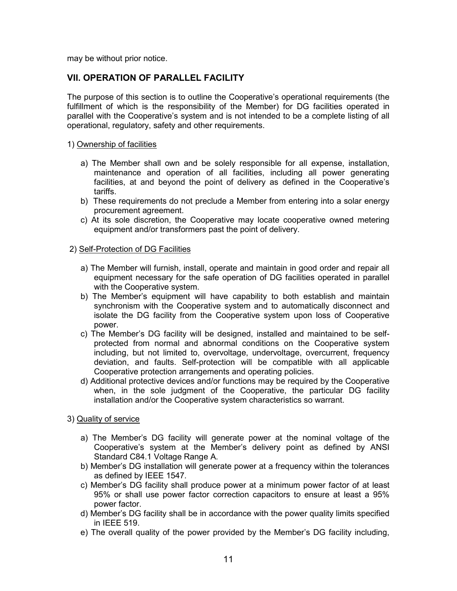may be without prior notice.

# **VII. OPERATION OF PARALLEL FACILITY**

The purpose of this section is to outline the Cooperative's operational requirements (the fulfillment of which is the responsibility of the Member) for DG facilities operated in parallel with the Cooperative's system and is not intended to be a complete listing of all operational, regulatory, safety and other requirements.

#### 1) Ownership of facilities

- a) The Member shall own and be solely responsible for all expense, installation, maintenance and operation of all facilities, including all power generating facilities, at and beyond the point of delivery as defined in the Cooperative's tariffs.
- b) These requirements do not preclude a Member from entering into a solar energy procurement agreement.
- c) At its sole discretion, the Cooperative may locate cooperative owned metering equipment and/or transformers past the point of delivery.

#### 2) Self-Protection of DG Facilities

- a) The Member will furnish, install, operate and maintain in good order and repair all equipment necessary for the safe operation of DG facilities operated in parallel with the Cooperative system.
- b) The Member's equipment will have capability to both establish and maintain synchronism with the Cooperative system and to automatically disconnect and isolate the DG facility from the Cooperative system upon loss of Cooperative power.
- c) The Member's DG facility will be designed, installed and maintained to be selfprotected from normal and abnormal conditions on the Cooperative system including, but not limited to, overvoltage, undervoltage, overcurrent, frequency deviation, and faults. Self-protection will be compatible with all applicable Cooperative protection arrangements and operating policies.
- d) Additional protective devices and/or functions may be required by the Cooperative when, in the sole judgment of the Cooperative, the particular DG facility installation and/or the Cooperative system characteristics so warrant.
- 3) Quality of service
	- a) The Member's DG facility will generate power at the nominal voltage of the Cooperative's system at the Member's delivery point as defined by ANSI Standard C84.1 Voltage Range A.
	- b) Member's DG installation will generate power at a frequency within the tolerances as defined by IEEE 1547.
	- c) Member's DG facility shall produce power at a minimum power factor of at least 95% or shall use power factor correction capacitors to ensure at least a 95% power factor.
	- d) Member's DG facility shall be in accordance with the power quality limits specified in IEEE 519.
	- e) The overall quality of the power provided by the Member's DG facility including,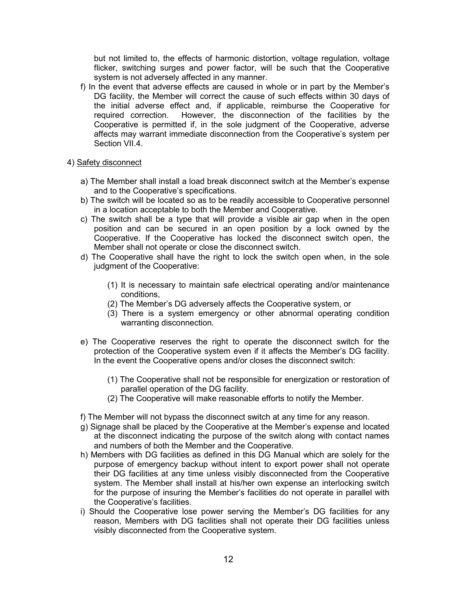but not limited to, the effects of harmonic distortion, voltage regulation, voltage flicker, switching surges and power factor, will be such that the Cooperative system is not adversely affected in any manner.

- f) In the event that adverse effects are caused in whole or in part by the Member's DG facility, the Member will correct the cause of such effects within 30 days of the initial adverse effect and, if applicable, reimburse the Cooperative for required correction. However, the disconnection of the facilities by the Cooperative is permitted if, in the sole judgment of the Cooperative, adverse affects may warrant immediate disconnection from the Cooperative's system per Section VII.4.
- 4) Safety disconnect
	- a) The Member shall install a load break disconnect switch at the Member's expense and to the Cooperative's specifications.
	- b) The switch will be located so as to be readily accessible to Cooperative personnel in a location acceptable to both the Member and Cooperative.
	- c) The switch shall be a type that will provide a visible air gap when in the open position and can be secured in an open position by a lock owned by the Cooperative. If the Cooperative has locked the disconnect switch open, the Member shall not operate or close the disconnect switch.
	- d) The Cooperative shall have the right to lock the switch open when, in the sole judgment of the Cooperative:
		- (1) It is necessary to maintain safe electrical operating and/or maintenance conditions,
		- (2) The Member's DG adversely affects the Cooperative system, or
		- (3) There is a system emergency or other abnormal operating condition warranting disconnection.
	- e) The Cooperative reserves the right to operate the disconnect switch for the protection of the Cooperative system even if it affects the Member's DG facility. In the event the Cooperative opens and/or closes the disconnect switch:
		- (1) The Cooperative shall not be responsible for energization or restoration of parallel operation of the DG facility.
		- (2) The Cooperative will make reasonable efforts to notify the Member.
	- f) The Member will not bypass the disconnect switch at any time for any reason.
	- g) Signage shall be placed by the Cooperative at the Member's expense and located at the disconnect indicating the purpose of the switch along with contact names and numbers of both the Member and the Cooperative.
	- h) Members with DG facilities as defined in this DG Manual which are solely for the purpose of emergency backup without intent to export power shall not operate their DG facilities at any time unless visibly disconnected from the Cooperative system. The Member shall install at his/her own expense an interlocking switch for the purpose of insuring the Member's facilities do not operate in parallel with the Cooperative's facilities.
	- i) Should the Cooperative lose power serving the Member's DG facilities for any reason, Members with DG facilities shall not operate their DG facilities unless visibly disconnected from the Cooperative system.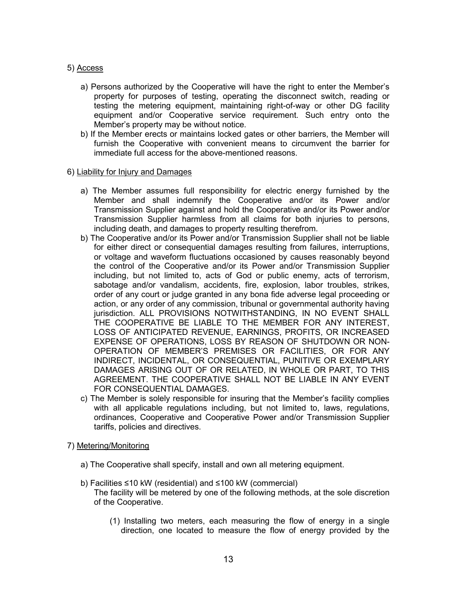#### 5) Access

- a) Persons authorized by the Cooperative will have the right to enter the Member's property for purposes of testing, operating the disconnect switch, reading or testing the metering equipment, maintaining right-of-way or other DG facility equipment and/or Cooperative service requirement. Such entry onto the Member's property may be without notice.
- b) If the Member erects or maintains locked gates or other barriers, the Member will furnish the Cooperative with convenient means to circumvent the barrier for immediate full access for the above-mentioned reasons.

#### 6) Liability for Injury and Damages

- a) The Member assumes full responsibility for electric energy furnished by the Member and shall indemnify the Cooperative and/or its Power and/or Transmission Supplier against and hold the Cooperative and/or its Power and/or Transmission Supplier harmless from all claims for both injuries to persons, including death, and damages to property resulting therefrom.
- b) The Cooperative and/or its Power and/or Transmission Supplier shall not be liable for either direct or consequential damages resulting from failures, interruptions, or voltage and waveform fluctuations occasioned by causes reasonably beyond the control of the Cooperative and/or its Power and/or Transmission Supplier including, but not limited to, acts of God or public enemy, acts of terrorism, sabotage and/or vandalism, accidents, fire, explosion, labor troubles, strikes, order of any court or judge granted in any bona fide adverse legal proceeding or action, or any order of any commission, tribunal or governmental authority having jurisdiction. ALL PROVISIONS NOTWITHSTANDING, IN NO EVENT SHALL THE COOPERATIVE BE LIABLE TO THE MEMBER FOR ANY INTEREST, LOSS OF ANTICIPATED REVENUE, EARNINGS, PROFITS, OR INCREASED EXPENSE OF OPERATIONS, LOSS BY REASON OF SHUTDOWN OR NON-OPERATION OF MEMBER'S PREMISES OR FACILITIES, OR FOR ANY INDIRECT, INCIDENTAL, OR CONSEQUENTIAL, PUNITIVE OR EXEMPLARY DAMAGES ARISING OUT OF OR RELATED, IN WHOLE OR PART, TO THIS AGREEMENT. THE COOPERATIVE SHALL NOT BE LIABLE IN ANY EVENT FOR CONSEQUENTIAL DAMAGES.
- c) The Member is solely responsible for insuring that the Member's facility complies with all applicable regulations including, but not limited to, laws, regulations, ordinances, Cooperative and Cooperative Power and/or Transmission Supplier tariffs, policies and directives.

#### 7) Metering/Monitoring

- a) The Cooperative shall specify, install and own all metering equipment.
- b) Facilities ≤10 kW (residential) and ≤100 kW (commercial) The facility will be metered by one of the following methods, at the sole discretion of the Cooperative.
	- (1) Installing two meters, each measuring the flow of energy in a single direction, one located to measure the flow of energy provided by the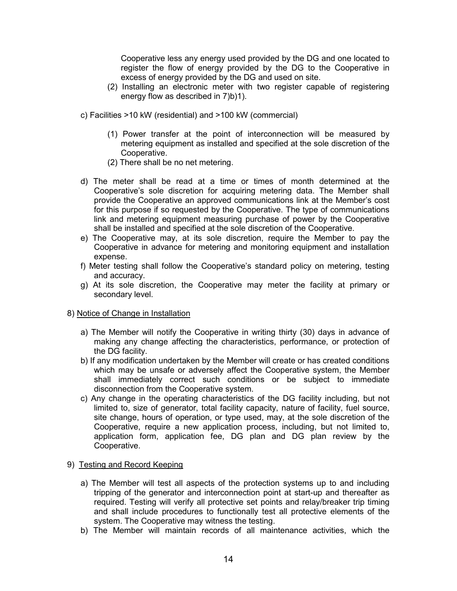Cooperative less any energy used provided by the DG and one located to register the flow of energy provided by the DG to the Cooperative in excess of energy provided by the DG and used on site.

- (2) Installing an electronic meter with two register capable of registering energy flow as described in 7)b)1).
- c) Facilities >10 kW (residential) and >100 kW (commercial)
	- (1) Power transfer at the point of interconnection will be measured by metering equipment as installed and specified at the sole discretion of the Cooperative.
	- (2) There shall be no net metering.
- d) The meter shall be read at a time or times of month determined at the Cooperative's sole discretion for acquiring metering data. The Member shall provide the Cooperative an approved communications link at the Member's cost for this purpose if so requested by the Cooperative. The type of communications link and metering equipment measuring purchase of power by the Cooperative shall be installed and specified at the sole discretion of the Cooperative.
- e) The Cooperative may, at its sole discretion, require the Member to pay the Cooperative in advance for metering and monitoring equipment and installation expense.
- f) Meter testing shall follow the Cooperative's standard policy on metering, testing and accuracy.
- g) At its sole discretion, the Cooperative may meter the facility at primary or secondary level.

#### 8) Notice of Change in Installation

- a) The Member will notify the Cooperative in writing thirty (30) days in advance of making any change affecting the characteristics, performance, or protection of the DG facility.
- b) If any modification undertaken by the Member will create or has created conditions which may be unsafe or adversely affect the Cooperative system, the Member shall immediately correct such conditions or be subject to immediate disconnection from the Cooperative system.
- c) Any change in the operating characteristics of the DG facility including, but not limited to, size of generator, total facility capacity, nature of facility, fuel source, site change, hours of operation, or type used, may, at the sole discretion of the Cooperative, require a new application process, including, but not limited to, application form, application fee, DG plan and DG plan review by the Cooperative.

#### 9) Testing and Record Keeping

- a) The Member will test all aspects of the protection systems up to and including tripping of the generator and interconnection point at start-up and thereafter as required. Testing will verify all protective set points and relay/breaker trip timing and shall include procedures to functionally test all protective elements of the system. The Cooperative may witness the testing.
- b) The Member will maintain records of all maintenance activities, which the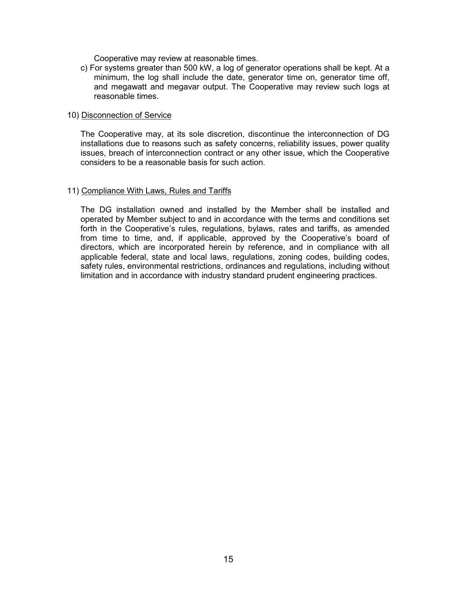Cooperative may review at reasonable times.

c) For systems greater than 500 kW, a log of generator operations shall be kept. At a minimum, the log shall include the date, generator time on, generator time off, and megawatt and megavar output. The Cooperative may review such logs at reasonable times.

#### 10) Disconnection of Service

The Cooperative may, at its sole discretion, discontinue the interconnection of DG installations due to reasons such as safety concerns, reliability issues, power quality issues, breach of interconnection contract or any other issue, which the Cooperative considers to be a reasonable basis for such action.

#### 11) Compliance With Laws, Rules and Tariffs

The DG installation owned and installed by the Member shall be installed and operated by Member subject to and in accordance with the terms and conditions set forth in the Cooperative's rules, regulations, bylaws, rates and tariffs, as amended from time to time, and, if applicable, approved by the Cooperative's board of directors, which are incorporated herein by reference, and in compliance with all applicable federal, state and local laws, regulations, zoning codes, building codes, safety rules, environmental restrictions, ordinances and regulations, including without limitation and in accordance with industry standard prudent engineering practices.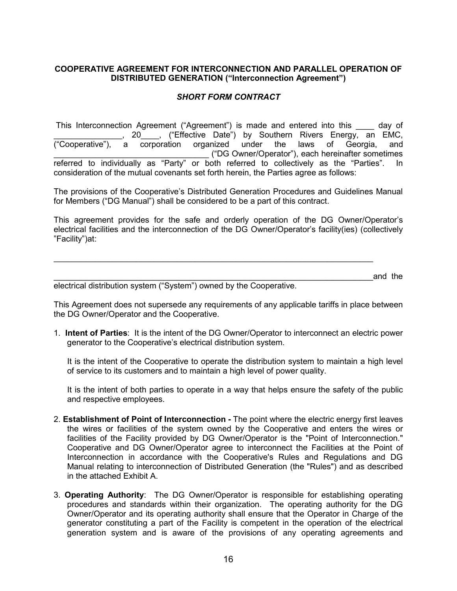## **COOPERATIVE AGREEMENT FOR INTERCONNECTION AND PARALLEL OPERATION OF DISTRIBUTED GENERATION ("Interconnection Agreement")**

# *SHORT FORM CONTRACT*

This Interconnection Agreement ("Agreement") is made and entered into this \_\_\_\_ day of , 20 , ("Effective Date") by Southern Rivers Energy, an EMC, ("Cooperative"), a corporation organized under the laws of Georgia, and \_\_\_\_\_\_\_\_\_\_\_\_\_\_\_\_\_\_\_\_\_\_\_\_\_\_\_\_\_\_\_\_\_\_ ("DG Owner/Operator"), each hereinafter sometimes referred to individually as "Party" or both referred to collectively as the "Parties". In consideration of the mutual covenants set forth herein, the Parties agree as follows:

The provisions of the Cooperative's Distributed Generation Procedures and Guidelines Manual for Members ("DG Manual") shall be considered to be a part of this contract.

This agreement provides for the safe and orderly operation of the DG Owner/Operator's electrical facilities and the interconnection of the DG Owner/Operator's facility(ies) (collectively "Facility")at:

 $\mathcal{L}_\mathcal{L} = \{ \mathcal{L}_\mathcal{L} = \{ \mathcal{L}_\mathcal{L} = \{ \mathcal{L}_\mathcal{L} = \{ \mathcal{L}_\mathcal{L} = \{ \mathcal{L}_\mathcal{L} = \{ \mathcal{L}_\mathcal{L} = \{ \mathcal{L}_\mathcal{L} = \{ \mathcal{L}_\mathcal{L} = \{ \mathcal{L}_\mathcal{L} = \{ \mathcal{L}_\mathcal{L} = \{ \mathcal{L}_\mathcal{L} = \{ \mathcal{L}_\mathcal{L} = \{ \mathcal{L}_\mathcal{L} = \{ \mathcal{L}_\mathcal{$ 

\_\_\_\_\_\_\_\_\_\_\_\_\_\_\_\_\_\_\_\_\_\_\_\_\_\_\_\_\_\_\_\_\_\_\_\_\_\_\_\_\_\_\_\_\_\_\_\_\_\_\_\_\_\_\_\_\_\_\_\_\_\_\_\_\_\_\_\_\_\_and the

electrical distribution system ("System") owned by the Cooperative.

This Agreement does not supersede any requirements of any applicable tariffs in place between the DG Owner/Operator and the Cooperative.

1. **Intent of Parties**: It is the intent of the DG Owner/Operator to interconnect an electric power generator to the Cooperative's electrical distribution system.

It is the intent of the Cooperative to operate the distribution system to maintain a high level of service to its customers and to maintain a high level of power quality.

It is the intent of both parties to operate in a way that helps ensure the safety of the public and respective employees.

- 2. **Establishment of Point of Interconnection -** The point where the electric energy first leaves the wires or facilities of the system owned by the Cooperative and enters the wires or facilities of the Facility provided by DG Owner/Operator is the "Point of Interconnection." Cooperative and DG Owner/Operator agree to interconnect the Facilities at the Point of Interconnection in accordance with the Cooperative's Rules and Regulations and DG Manual relating to interconnection of Distributed Generation (the "Rules") and as described in the attached Exhibit A.
- 3. **Operating Authority**: The DG Owner/Operator is responsible for establishing operating procedures and standards within their organization. The operating authority for the DG Owner/Operator and its operating authority shall ensure that the Operator in Charge of the generator constituting a part of the Facility is competent in the operation of the electrical generation system and is aware of the provisions of any operating agreements and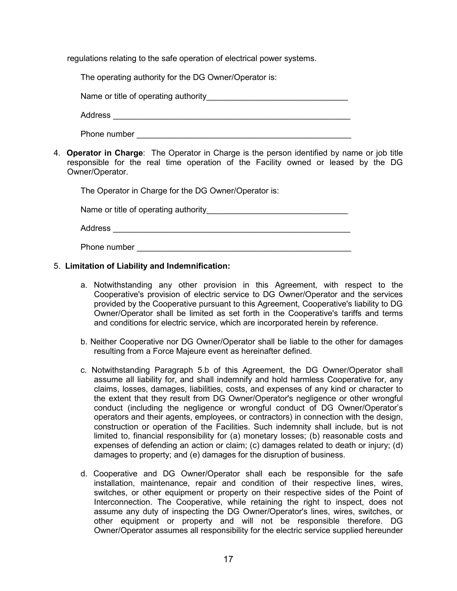regulations relating to the safe operation of electrical power systems.

The operating authority for the DG Owner/Operator is:

Name or title of operating authority Theorem Communication of the set of operating authority

Address \_\_\_\_\_\_\_\_\_\_\_\_\_\_\_\_\_\_\_\_\_\_\_\_\_\_\_\_\_\_\_\_\_\_\_\_\_\_\_\_\_\_\_\_\_\_\_\_\_\_\_\_

Phone number \_\_\_\_\_\_\_\_\_\_\_\_\_\_\_\_\_\_\_\_\_\_\_\_\_\_\_\_\_\_\_\_\_\_\_\_\_\_\_\_\_\_\_\_\_\_\_

4. **Operator in Charge**: The Operator in Charge is the person identified by name or job title responsible for the real time operation of the Facility owned or leased by the DG Owner/Operator.

The Operator in Charge for the DG Owner/Operator is:

Name or title of operating authority\_\_\_\_\_\_\_\_\_\_\_\_\_\_\_\_\_\_\_\_\_\_\_\_\_\_\_\_\_\_\_

| Ð<br>co.<br>თა<br>w<br>. .<br>-- |  |  |  |
|----------------------------------|--|--|--|
|                                  |  |  |  |

Phone number \_\_\_\_\_\_\_\_\_\_\_\_\_\_\_\_\_\_\_\_\_\_\_\_\_\_\_\_\_\_\_\_\_\_\_\_\_\_\_\_\_\_\_\_\_\_\_

## 5. **Limitation of Liability and Indemnification:**

- a. Notwithstanding any other provision in this Agreement, with respect to the Cooperative's provision of electric service to DG Owner/Operator and the services provided by the Cooperative pursuant to this Agreement, Cooperative's liability to DG Owner/Operator shall be limited as set forth in the Cooperative's tariffs and terms and conditions for electric service, which are incorporated herein by reference.
- b. Neither Cooperative nor DG Owner/Operator shall be liable to the other for damages resulting from a Force Majeure event as hereinafter defined.
- c. Notwithstanding Paragraph 5.b of this Agreement, the DG Owner/Operator shall assume all liability for, and shall indemnify and hold harmless Cooperative for, any claims, losses, damages, liabilities, costs, and expenses of any kind or character to the extent that they result from DG Owner/Operator's negligence or other wrongful conduct (including the negligence or wrongful conduct of DG Owner/Operator's operators and their agents, employees, or contractors) in connection with the design, construction or operation of the Facilities. Such indemnity shall include, but is not limited to, financial responsibility for (a) monetary losses; (b) reasonable costs and expenses of defending an action or claim; (c) damages related to death or injury; (d) damages to property; and (e) damages for the disruption of business.
- d. Cooperative and DG Owner/Operator shall each be responsible for the safe installation, maintenance, repair and condition of their respective lines, wires, switches, or other equipment or property on their respective sides of the Point of Interconnection. The Cooperative, while retaining the right to inspect, does not assume any duty of inspecting the DG Owner/Operator's lines, wires, switches, or other equipment or property and will not be responsible therefore. DG Owner/Operator assumes all responsibility for the electric service supplied hereunder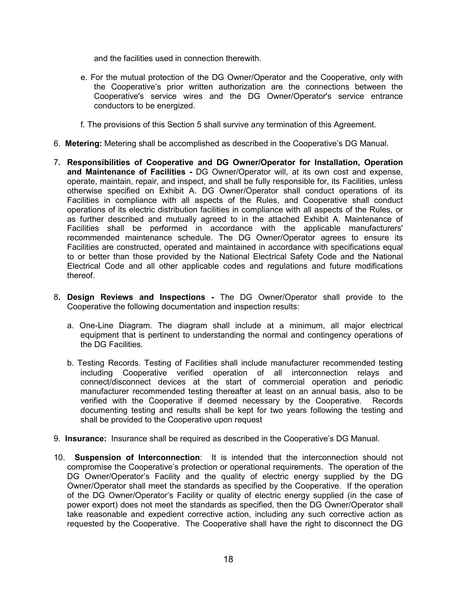and the facilities used in connection therewith.

- e. For the mutual protection of the DG Owner/Operator and the Cooperative, only with the Cooperative's prior written authorization are the connections between the Cooperative's service wires and the DG Owner/Operator's service entrance conductors to be energized.
- f. The provisions of this Section 5 shall survive any termination of this Agreement.
- 6. **Metering:** Metering shall be accomplished as described in the Cooperative's DG Manual.
- 7**. Responsibilities of Cooperative and DG Owner/Operator for Installation, Operation and Maintenance of Facilities -** DG Owner/Operator will, at its own cost and expense, operate, maintain, repair, and inspect, and shall be fully responsible for, its Facilities, unless otherwise specified on Exhibit A. DG Owner/Operator shall conduct operations of its Facilities in compliance with all aspects of the Rules, and Cooperative shall conduct operations of its electric distribution facilities in compliance with all aspects of the Rules, or as further described and mutually agreed to in the attached Exhibit A. Maintenance of Facilities shall be performed in accordance with the applicable manufacturers' recommended maintenance schedule. The DG Owner/Operator agrees to ensure its Facilities are constructed, operated and maintained in accordance with specifications equal to or better than those provided by the National Electrical Safety Code and the National Electrical Code and all other applicable codes and regulations and future modifications thereof.
- 8**. Design Reviews and Inspections -** The DG Owner/Operator shall provide to the Cooperative the following documentation and inspection results:
	- a. One-Line Diagram. The diagram shall include at a minimum, all major electrical equipment that is pertinent to understanding the normal and contingency operations of the DG Facilities.
	- b. Testing Records. Testing of Facilities shall include manufacturer recommended testing including Cooperative verified operation of all interconnection relays and connect/disconnect devices at the start of commercial operation and periodic manufacturer recommended testing thereafter at least on an annual basis, also to be verified with the Cooperative if deemed necessary by the Cooperative. Records documenting testing and results shall be kept for two years following the testing and shall be provided to the Cooperative upon request
- 9. **Insurance:** Insurance shall be required as described in the Cooperative's DG Manual.
- 10. **Suspension of Interconnection**: It is intended that the interconnection should not compromise the Cooperative's protection or operational requirements. The operation of the DG Owner/Operator's Facility and the quality of electric energy supplied by the DG Owner/Operator shall meet the standards as specified by the Cooperative. If the operation of the DG Owner/Operator's Facility or quality of electric energy supplied (in the case of power export) does not meet the standards as specified, then the DG Owner/Operator shall take reasonable and expedient corrective action, including any such corrective action as requested by the Cooperative. The Cooperative shall have the right to disconnect the DG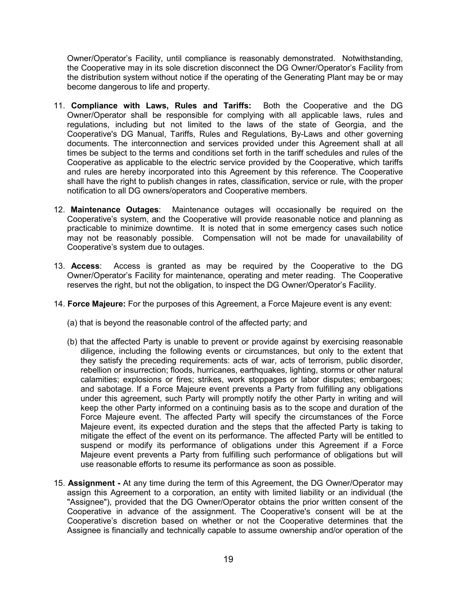Owner/Operator's Facility, until compliance is reasonably demonstrated. Notwithstanding, the Cooperative may in its sole discretion disconnect the DG Owner/Operator's Facility from the distribution system without notice if the operating of the Generating Plant may be or may become dangerous to life and property.

- 11. **Compliance with Laws, Rules and Tariffs:** Both the Cooperative and the DG Owner/Operator shall be responsible for complying with all applicable laws, rules and regulations, including but not limited to the laws of the state of Georgia, and the Cooperative's DG Manual, Tariffs, Rules and Regulations, By-Laws and other governing documents. The interconnection and services provided under this Agreement shall at all times be subject to the terms and conditions set forth in the tariff schedules and rules of the Cooperative as applicable to the electric service provided by the Cooperative, which tariffs and rules are hereby incorporated into this Agreement by this reference. The Cooperative shall have the right to publish changes in rates, classification, service or rule, with the proper notification to all DG owners/operators and Cooperative members.
- 12. **Maintenance Outages**: Maintenance outages will occasionally be required on the Cooperative's system, and the Cooperative will provide reasonable notice and planning as practicable to minimize downtime. It is noted that in some emergency cases such notice may not be reasonably possible. Compensation will not be made for unavailability of Cooperative's system due to outages.
- 13. **Access**: Access is granted as may be required by the Cooperative to the DG Owner/Operator's Facility for maintenance, operating and meter reading. The Cooperative reserves the right, but not the obligation, to inspect the DG Owner/Operator's Facility.
- 14. **Force Majeure:** For the purposes of this Agreement, a Force Majeure event is any event:
	- (a) that is beyond the reasonable control of the affected party; and
	- (b) that the affected Party is unable to prevent or provide against by exercising reasonable diligence, including the following events or circumstances, but only to the extent that they satisfy the preceding requirements: acts of war, acts of terrorism, public disorder, rebellion or insurrection; floods, hurricanes, earthquakes, lighting, storms or other natural calamities; explosions or fires; strikes, work stoppages or labor disputes; embargoes; and sabotage. If a Force Majeure event prevents a Party from fulfilling any obligations under this agreement, such Party will promptly notify the other Party in writing and will keep the other Party informed on a continuing basis as to the scope and duration of the Force Majeure event. The affected Party will specify the circumstances of the Force Majeure event, its expected duration and the steps that the affected Party is taking to mitigate the effect of the event on its performance. The affected Party will be entitled to suspend or modify its performance of obligations under this Agreement if a Force Majeure event prevents a Party from fulfilling such performance of obligations but will use reasonable efforts to resume its performance as soon as possible.
- 15. **Assignment -** At any time during the term of this Agreement, the DG Owner/Operator may assign this Agreement to a corporation, an entity with limited liability or an individual (the "Assignee"), provided that the DG Owner/Operator obtains the prior written consent of the Cooperative in advance of the assignment. The Cooperative's consent will be at the Cooperative's discretion based on whether or not the Cooperative determines that the Assignee is financially and technically capable to assume ownership and/or operation of the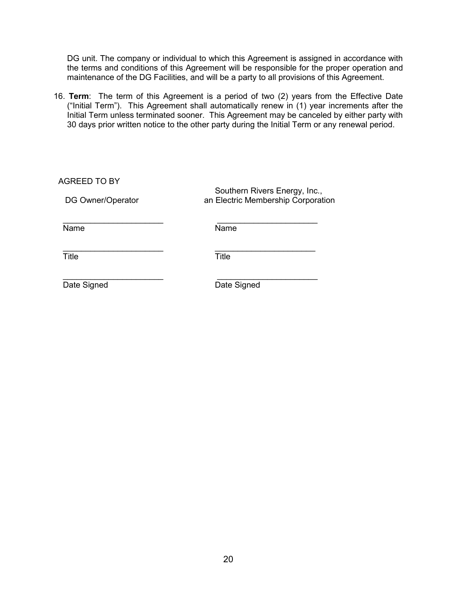DG unit. The company or individual to which this Agreement is assigned in accordance with the terms and conditions of this Agreement will be responsible for the proper operation and maintenance of the DG Facilities, and will be a party to all provisions of this Agreement.

16. **Term**: The term of this Agreement is a period of two (2) years from the Effective Date ("Initial Term"). This Agreement shall automatically renew in (1) year increments after the Initial Term unless terminated sooner. This Agreement may be canceled by either party with 30 days prior written notice to the other party during the Initial Term or any renewal period.

| <b>AGREED TO BY</b><br>DG Owner/Operator | Southern Rivers Energy, Inc.,<br>an Electric Membership Corporation |
|------------------------------------------|---------------------------------------------------------------------|
| Name                                     | Name                                                                |
| Title                                    | <b>Title</b>                                                        |
| Date Signed                              | Date Signed                                                         |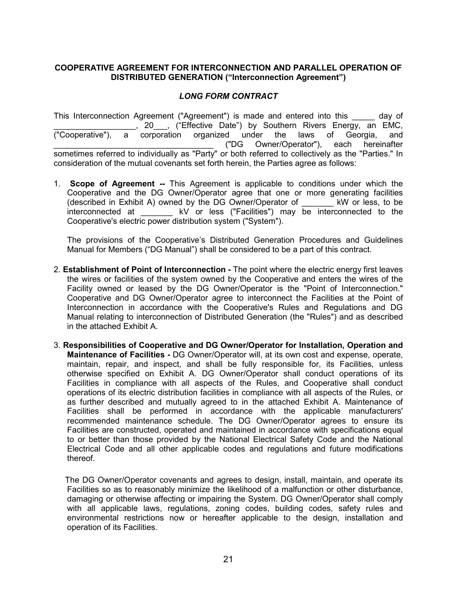## **COOPERATIVE AGREEMENT FOR INTERCONNECTION AND PARALLEL OPERATION OF DISTRIBUTED GENERATION ("Interconnection Agreement")**

# *LONG FORM CONTRACT*

This Interconnection Agreement ("Agreement") is made and entered into this \_\_\_\_\_ day of 20 , ("Effective Date") by Southern Rivers Energy, an EMC, ("Cooperative"), a corporation organized under the laws of Georgia, and \_\_\_\_\_\_\_\_\_\_\_\_\_\_\_\_\_\_\_\_\_\_\_\_\_\_\_\_\_\_\_\_\_\_\_ ("DG Owner/Operator"), each hereinafter sometimes referred to individually as "Party" or both referred to collectively as the "Parties." In consideration of the mutual covenants set forth herein, the Parties agree as follows:

1. **Scope of Agreement --** This Agreement is applicable to conditions under which the Cooperative and the DG Owner/Operator agree that one or more generating facilities (described in Exhibit A) owned by the DG Owner/Operator of \_\_\_\_\_\_\_ kW or less, to be interconnected at **KV** or less ("Facilities") may be interconnected to the Cooperative's electric power distribution system ("System").

The provisions of the Cooperative's Distributed Generation Procedures and Guidelines Manual for Members ("DG Manual") shall be considered to be a part of this contract.

- 2. **Establishment of Point of Interconnection -** The point where the electric energy first leaves the wires or facilities of the system owned by the Cooperative and enters the wires of the Facility owned or leased by the DG Owner/Operator is the "Point of Interconnection." Cooperative and DG Owner/Operator agree to interconnect the Facilities at the Point of Interconnection in accordance with the Cooperative's Rules and Regulations and DG Manual relating to interconnection of Distributed Generation (the "Rules") and as described in the attached Exhibit A.
- 3. **Responsibilities of Cooperative and DG Owner/Operator for Installation, Operation and Maintenance of Facilities -** DG Owner/Operator will, at its own cost and expense, operate, maintain, repair, and inspect, and shall be fully responsible for, its Facilities, unless otherwise specified on Exhibit A. DG Owner/Operator shall conduct operations of its Facilities in compliance with all aspects of the Rules, and Cooperative shall conduct operations of its electric distribution facilities in compliance with all aspects of the Rules, or as further described and mutually agreed to in the attached Exhibit A. Maintenance of Facilities shall be performed in accordance with the applicable manufacturers' recommended maintenance schedule. The DG Owner/Operator agrees to ensure its Facilities are constructed, operated and maintained in accordance with specifications equal to or better than those provided by the National Electrical Safety Code and the National Electrical Code and all other applicable codes and regulations and future modifications thereof.

 The DG Owner/Operator covenants and agrees to design, install, maintain, and operate its Facilities so as to reasonably minimize the likelihood of a malfunction or other disturbance, damaging or otherwise affecting or impairing the System. DG Owner/Operator shall comply with all applicable laws, regulations, zoning codes, building codes, safety rules and environmental restrictions now or hereafter applicable to the design, installation and operation of its Facilities.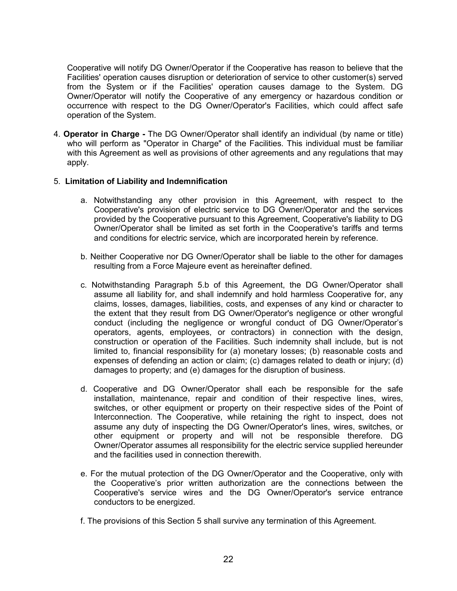Cooperative will notify DG Owner/Operator if the Cooperative has reason to believe that the Facilities' operation causes disruption or deterioration of service to other customer(s) served from the System or if the Facilities' operation causes damage to the System. DG Owner/Operator will notify the Cooperative of any emergency or hazardous condition or occurrence with respect to the DG Owner/Operator's Facilities, which could affect safe operation of the System.

4. **Operator in Charge -** The DG Owner/Operator shall identify an individual (by name or title) who will perform as "Operator in Charge" of the Facilities. This individual must be familiar with this Agreement as well as provisions of other agreements and any regulations that may apply.

#### 5. **Limitation of Liability and Indemnification**

- a. Notwithstanding any other provision in this Agreement, with respect to the Cooperative's provision of electric service to DG Owner/Operator and the services provided by the Cooperative pursuant to this Agreement, Cooperative's liability to DG Owner/Operator shall be limited as set forth in the Cooperative's tariffs and terms and conditions for electric service, which are incorporated herein by reference.
- b. Neither Cooperative nor DG Owner/Operator shall be liable to the other for damages resulting from a Force Majeure event as hereinafter defined.
- c. Notwithstanding Paragraph 5.b of this Agreement, the DG Owner/Operator shall assume all liability for, and shall indemnify and hold harmless Cooperative for, any claims, losses, damages, liabilities, costs, and expenses of any kind or character to the extent that they result from DG Owner/Operator's negligence or other wrongful conduct (including the negligence or wrongful conduct of DG Owner/Operator's operators, agents, employees, or contractors) in connection with the design, construction or operation of the Facilities. Such indemnity shall include, but is not limited to, financial responsibility for (a) monetary losses; (b) reasonable costs and expenses of defending an action or claim; (c) damages related to death or injury; (d) damages to property; and (e) damages for the disruption of business.
- d. Cooperative and DG Owner/Operator shall each be responsible for the safe installation, maintenance, repair and condition of their respective lines, wires, switches, or other equipment or property on their respective sides of the Point of Interconnection. The Cooperative, while retaining the right to inspect, does not assume any duty of inspecting the DG Owner/Operator's lines, wires, switches, or other equipment or property and will not be responsible therefore. DG Owner/Operator assumes all responsibility for the electric service supplied hereunder and the facilities used in connection therewith.
- e. For the mutual protection of the DG Owner/Operator and the Cooperative, only with the Cooperative's prior written authorization are the connections between the Cooperative's service wires and the DG Owner/Operator's service entrance conductors to be energized.
- f. The provisions of this Section 5 shall survive any termination of this Agreement.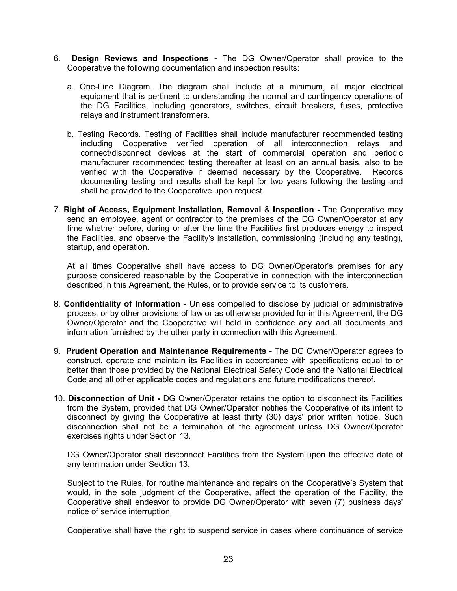- 6. **Design Reviews and Inspections -** The DG Owner/Operator shall provide to the Cooperative the following documentation and inspection results:
	- a. One-Line Diagram. The diagram shall include at a minimum, all major electrical equipment that is pertinent to understanding the normal and contingency operations of the DG Facilities, including generators, switches, circuit breakers, fuses, protective relays and instrument transformers.
	- b. Testing Records. Testing of Facilities shall include manufacturer recommended testing including Cooperative verified operation of all interconnection relays and connect/disconnect devices at the start of commercial operation and periodic manufacturer recommended testing thereafter at least on an annual basis, also to be verified with the Cooperative if deemed necessary by the Cooperative. Records documenting testing and results shall be kept for two years following the testing and shall be provided to the Cooperative upon request.
- 7. **Right of Access, Equipment Installation, Removal** & **Inspection -** The Cooperative may send an employee, agent or contractor to the premises of the DG Owner/Operator at any time whether before, during or after the time the Facilities first produces energy to inspect the Facilities, and observe the Facility's installation, commissioning (including any testing), startup, and operation.

At all times Cooperative shall have access to DG Owner/Operator's premises for any purpose considered reasonable by the Cooperative in connection with the interconnection described in this Agreement, the Rules, or to provide service to its customers.

- 8. **Confidentiality of Information -** Unless compelled to disclose by judicial or administrative process, or by other provisions of law or as otherwise provided for in this Agreement, the DG Owner/Operator and the Cooperative will hold in confidence any and all documents and information furnished by the other party in connection with this Agreement.
- 9. **Prudent Operation and Maintenance Requirements -** The DG Owner/Operator agrees to construct, operate and maintain its Facilities in accordance with specifications equal to or better than those provided by the National Electrical Safety Code and the National Electrical Code and all other applicable codes and regulations and future modifications thereof.
- 10. **Disconnection of Unit -** DG Owner/Operator retains the option to disconnect its Facilities from the System, provided that DG Owner/Operator notifies the Cooperative of its intent to disconnect by giving the Cooperative at least thirty (30) days' prior written notice. Such disconnection shall not be a termination of the agreement unless DG Owner/Operator exercises rights under Section 13.

DG Owner/Operator shall disconnect Facilities from the System upon the effective date of any termination under Section 13.

Subject to the Rules, for routine maintenance and repairs on the Cooperative's System that would, in the sole judgment of the Cooperative, affect the operation of the Facility, the Cooperative shall endeavor to provide DG Owner/Operator with seven (7) business days' notice of service interruption.

Cooperative shall have the right to suspend service in cases where continuance of service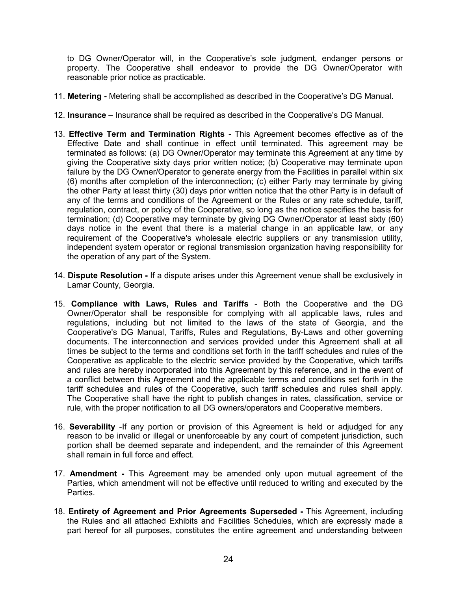to DG Owner/Operator will, in the Cooperative's sole judgment, endanger persons or property. The Cooperative shall endeavor to provide the DG Owner/Operator with reasonable prior notice as practicable.

- 11. **Metering -** Metering shall be accomplished as described in the Cooperative's DG Manual.
- 12. **Insurance –** Insurance shall be required as described in the Cooperative's DG Manual.
- 13. **Effective Term and Termination Rights -** This Agreement becomes effective as of the Effective Date and shall continue in effect until terminated. This agreement may be terminated as follows: (a) DG Owner/Operator may terminate this Agreement at any time by giving the Cooperative sixty days prior written notice; (b) Cooperative may terminate upon failure by the DG Owner/Operator to generate energy from the Facilities in parallel within six (6) months after completion of the interconnection; (c) either Party may terminate by giving the other Party at least thirty (30) days prior written notice that the other Party is in default of any of the terms and conditions of the Agreement or the Rules or any rate schedule, tariff, regulation, contract, or policy of the Cooperative, so long as the notice specifies the basis for termination; (d) Cooperative may terminate by giving DG Owner/Operator at least sixty (60) days notice in the event that there is a material change in an applicable law, or any requirement of the Cooperative's wholesale electric suppliers or any transmission utility, independent system operator or regional transmission organization having responsibility for the operation of any part of the System.
- 14. **Dispute Resolution -** If a dispute arises under this Agreement venue shall be exclusively in Lamar County, Georgia.
- 15. **Compliance with Laws, Rules and Tariffs**  Both the Cooperative and the DG Owner/Operator shall be responsible for complying with all applicable laws, rules and regulations, including but not limited to the laws of the state of Georgia, and the Cooperative's DG Manual, Tariffs, Rules and Regulations, By-Laws and other governing documents. The interconnection and services provided under this Agreement shall at all times be subject to the terms and conditions set forth in the tariff schedules and rules of the Cooperative as applicable to the electric service provided by the Cooperative, which tariffs and rules are hereby incorporated into this Agreement by this reference, and in the event of a conflict between this Agreement and the applicable terms and conditions set forth in the tariff schedules and rules of the Cooperative, such tariff schedules and rules shall apply. The Cooperative shall have the right to publish changes in rates, classification, service or rule, with the proper notification to all DG owners/operators and Cooperative members.
- 16. **Severability** -If any portion or provision of this Agreement is held or adjudged for any reason to be invalid or illegal or unenforceable by any court of competent jurisdiction, such portion shall be deemed separate and independent, and the remainder of this Agreement shall remain in full force and effect.
- 17. **Amendment -** This Agreement may be amended only upon mutual agreement of the Parties, which amendment will not be effective until reduced to writing and executed by the Parties.
- 18. **Entirety of Agreement and Prior Agreements Superseded -** This Agreement, including the Rules and all attached Exhibits and Facilities Schedules, which are expressly made a part hereof for all purposes, constitutes the entire agreement and understanding between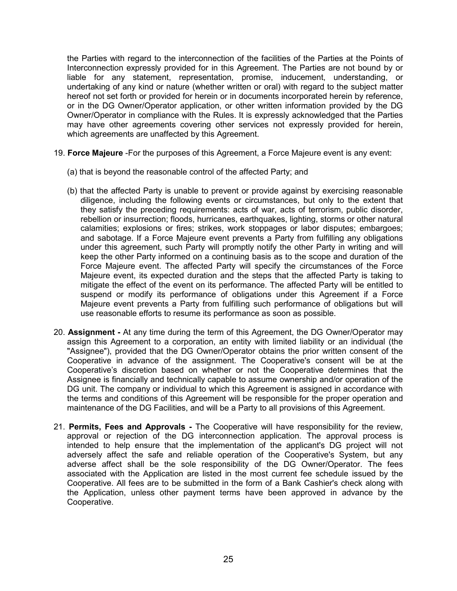the Parties with regard to the interconnection of the facilities of the Parties at the Points of Interconnection expressly provided for in this Agreement. The Parties are not bound by or liable for any statement, representation, promise, inducement, understanding, or undertaking of any kind or nature (whether written or oral) with regard to the subject matter hereof not set forth or provided for herein or in documents incorporated herein by reference, or in the DG Owner/Operator application, or other written information provided by the DG Owner/Operator in compliance with the Rules. It is expressly acknowledged that the Parties may have other agreements covering other services not expressly provided for herein, which agreements are unaffected by this Agreement.

- 19. **Force Majeure** -For the purposes of this Agreement, a Force Majeure event is any event:
	- (a) that is beyond the reasonable control of the affected Party; and
	- (b) that the affected Party is unable to prevent or provide against by exercising reasonable diligence, including the following events or circumstances, but only to the extent that they satisfy the preceding requirements: acts of war, acts of terrorism, public disorder, rebellion or insurrection; floods, hurricanes, earthquakes, lighting, storms or other natural calamities; explosions or fires; strikes, work stoppages or labor disputes; embargoes; and sabotage. If a Force Majeure event prevents a Party from fulfilling any obligations under this agreement, such Party will promptly notify the other Party in writing and will keep the other Party informed on a continuing basis as to the scope and duration of the Force Majeure event. The affected Party will specify the circumstances of the Force Majeure event, its expected duration and the steps that the affected Party is taking to mitigate the effect of the event on its performance. The affected Party will be entitled to suspend or modify its performance of obligations under this Agreement if a Force Majeure event prevents a Party from fulfilling such performance of obligations but will use reasonable efforts to resume its performance as soon as possible.
- 20. **Assignment -** At any time during the term of this Agreement, the DG Owner/Operator may assign this Agreement to a corporation, an entity with limited liability or an individual (the "Assignee"), provided that the DG Owner/Operator obtains the prior written consent of the Cooperative in advance of the assignment. The Cooperative's consent will be at the Cooperative's discretion based on whether or not the Cooperative determines that the Assignee is financially and technically capable to assume ownership and/or operation of the DG unit. The company or individual to which this Agreement is assigned in accordance with the terms and conditions of this Agreement will be responsible for the proper operation and maintenance of the DG Facilities, and will be a Party to all provisions of this Agreement.
- 21. **Permits, Fees and Approvals -** The Cooperative will have responsibility for the review, approval or rejection of the DG interconnection application. The approval process is intended to help ensure that the implementation of the applicant's DG project will not adversely affect the safe and reliable operation of the Cooperative's System, but any adverse affect shall be the sole responsibility of the DG Owner/Operator. The fees associated with the Application are listed in the most current fee schedule issued by the Cooperative. All fees are to be submitted in the form of a Bank Cashier's check along with the Application, unless other payment terms have been approved in advance by the Cooperative.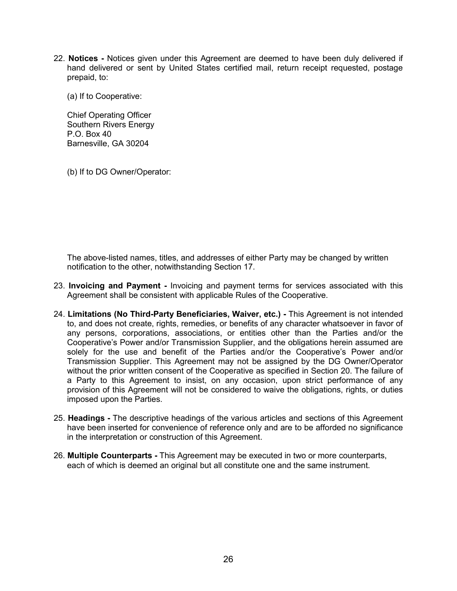22. **Notices -** Notices given under this Agreement are deemed to have been duly delivered if hand delivered or sent by United States certified mail, return receipt requested, postage prepaid, to:

(a) If to Cooperative:

Chief Operating Officer Southern Rivers Energy P.O. Box 40 Barnesville, GA 30204

(b) If to DG Owner/Operator:

The above-listed names, titles, and addresses of either Party may be changed by written notification to the other, notwithstanding Section 17.

- 23. **Invoicing and Payment -** Invoicing and payment terms for services associated with this Agreement shall be consistent with applicable Rules of the Cooperative.
- 24. **Limitations (No Third-Party Beneficiaries, Waiver, etc.) -** This Agreement is not intended to, and does not create, rights, remedies, or benefits of any character whatsoever in favor of any persons, corporations, associations, or entities other than the Parties and/or the Cooperative's Power and/or Transmission Supplier, and the obligations herein assumed are solely for the use and benefit of the Parties and/or the Cooperative's Power and/or Transmission Supplier. This Agreement may not be assigned by the DG Owner/Operator without the prior written consent of the Cooperative as specified in Section 20. The failure of a Party to this Agreement to insist, on any occasion, upon strict performance of any provision of this Agreement will not be considered to waive the obligations, rights, or duties imposed upon the Parties.
- 25. **Headings -** The descriptive headings of the various articles and sections of this Agreement have been inserted for convenience of reference only and are to be afforded no significance in the interpretation or construction of this Agreement.
- 26. **Multiple Counterparts -** This Agreement may be executed in two or more counterparts, each of which is deemed an original but all constitute one and the same instrument.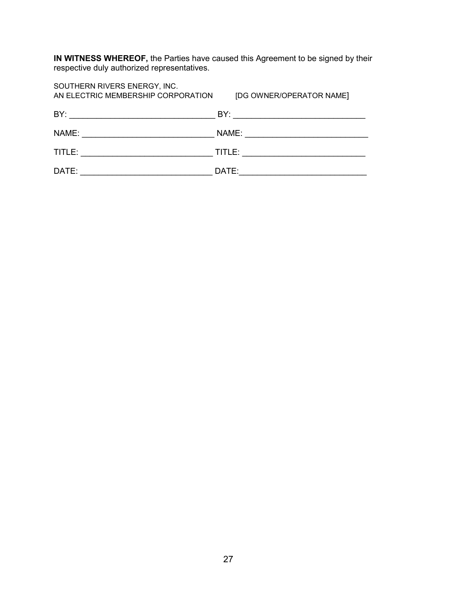**IN WITNESS WHEREOF,** the Parties have caused this Agreement to be signed by their respective duly authorized representatives.

| SOUTHERN RIVERS ENERGY, INC.<br>AN ELECTRIC MEMBERSHIP CORPORATION | [DG OWNER/OPERATOR NAME]                                                                                                                                                                                                                      |
|--------------------------------------------------------------------|-----------------------------------------------------------------------------------------------------------------------------------------------------------------------------------------------------------------------------------------------|
| BY:                                                                |                                                                                                                                                                                                                                               |
| NAME:                                                              | NAME:<br><u>and the company of the company of the company of the company of the company of the company of the company of the company of the company of the company of the company of the company of the company of the company of the com</u> |
| TITLE:                                                             | TITLE:                                                                                                                                                                                                                                        |
| DATE:                                                              | DATE:                                                                                                                                                                                                                                         |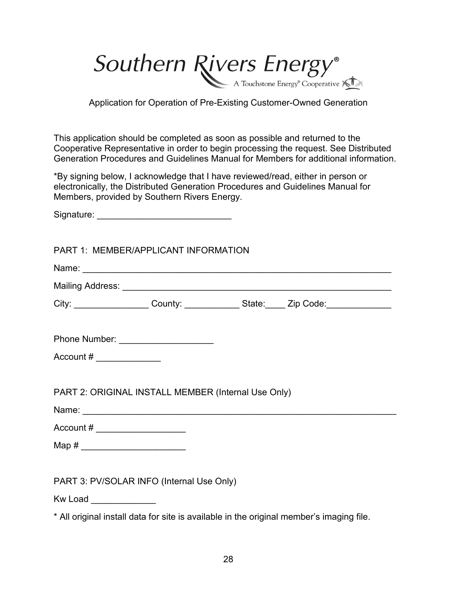Southern Rivers Energy®

Application for Operation of Pre-Existing Customer-Owned Generation

This application should be completed as soon as possible and returned to the Cooperative Representative in order to begin processing the request. See Distributed Generation Procedures and Guidelines Manual for Members for additional information.

\*By signing below, I acknowledge that I have reviewed/read, either in person or electronically, the Distributed Generation Procedures and Guidelines Manual for Members, provided by Southern Rivers Energy.

Signature: \_\_\_\_\_\_\_\_\_\_\_\_\_\_\_\_\_\_\_\_\_\_\_\_\_\_\_

|                                                                                                                                                                                                                                                                                                                 | PART 1: MEMBER/APPLICANT INFORMATION                                                                                                                                                                                          |  |  |
|-----------------------------------------------------------------------------------------------------------------------------------------------------------------------------------------------------------------------------------------------------------------------------------------------------------------|-------------------------------------------------------------------------------------------------------------------------------------------------------------------------------------------------------------------------------|--|--|
|                                                                                                                                                                                                                                                                                                                 | Name: Name: Name: Name: Name: Name: Name: Name: Name: Name: Name: Name: Name: Name: Name: Name: Name: Name: Name: Name: Name: Name: Name: Name: Name: Name: Name: Name: Name: Name: Name: Name: Name: Name: Name: Name: Name: |  |  |
|                                                                                                                                                                                                                                                                                                                 |                                                                                                                                                                                                                               |  |  |
|                                                                                                                                                                                                                                                                                                                 | City: ___________________County: ________________State: ______ Zip Code: _______________                                                                                                                                      |  |  |
|                                                                                                                                                                                                                                                                                                                 | Phone Number: _______________________                                                                                                                                                                                         |  |  |
| Account # $\frac{1}{2}$ $\frac{1}{2}$ $\frac{1}{2}$ $\frac{1}{2}$ $\frac{1}{2}$ $\frac{1}{2}$ $\frac{1}{2}$ $\frac{1}{2}$ $\frac{1}{2}$ $\frac{1}{2}$ $\frac{1}{2}$ $\frac{1}{2}$ $\frac{1}{2}$ $\frac{1}{2}$ $\frac{1}{2}$ $\frac{1}{2}$ $\frac{1}{2}$ $\frac{1}{2}$ $\frac{1}{2}$ $\frac{1}{2}$ $\frac{1}{2}$ |                                                                                                                                                                                                                               |  |  |
|                                                                                                                                                                                                                                                                                                                 | PART 2: ORIGINAL INSTALL MEMBER (Internal Use Only)                                                                                                                                                                           |  |  |
|                                                                                                                                                                                                                                                                                                                 |                                                                                                                                                                                                                               |  |  |
| Account $\#$ ____________________                                                                                                                                                                                                                                                                               |                                                                                                                                                                                                                               |  |  |
| Map # __________________________                                                                                                                                                                                                                                                                                |                                                                                                                                                                                                                               |  |  |
|                                                                                                                                                                                                                                                                                                                 | PART 3: PV/SOLAR INFO (Internal Use Only)                                                                                                                                                                                     |  |  |

Kw Load **and**  $\overline{a}$ 

\* All original install data for site is available in the original member's imaging file.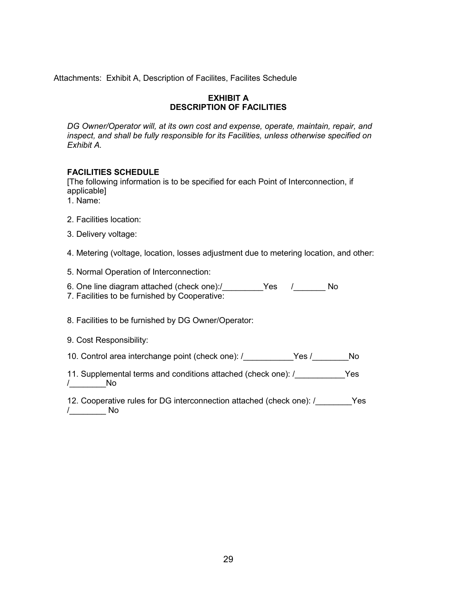Attachments: Exhibit A, Description of Facilites, Facilites Schedule

#### **EXHIBIT A DESCRIPTION OF FACILITIES**

*DG Owner/Operator will, at its own cost and expense, operate, maintain, repair, and inspect, and shall be fully responsible for its Facilities, unless otherwise specified on Exhibit A.* 

## **FACILITIES SCHEDULE**

[The following information is to be specified for each Point of Interconnection, if applicable]

- 1. Name:
- 2. Facilities location:
- 3. Delivery voltage:

4. Metering (voltage, location, losses adjustment due to metering location, and other:

5. Normal Operation of Interconnection:

- 6. One line diagram attached (check one):/ [169] Yes (169] No
- 7. Facilities to be furnished by Cooperative:

8. Facilities to be furnished by DG Owner/Operator:

9. Cost Responsibility:

10. Control area interchange point (check one): /\_\_\_\_\_\_\_\_\_\_Yes /\_\_\_\_\_\_\_No

- 11. Supplemental terms and conditions attached (check one): / These Yes /\_\_\_\_\_\_\_\_No
- 12. Cooperative rules for DG interconnection attached (check one): / These Yes /\_\_\_\_\_\_\_\_ No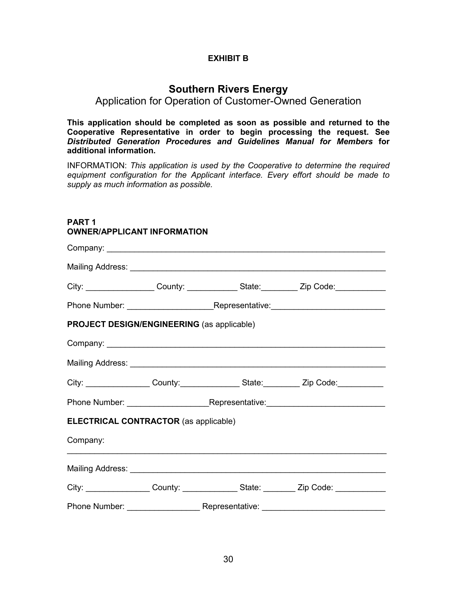## **EXHIBIT B**

# **Southern Rivers Energy**

# Application for Operation of Customer-Owned Generation

**This application should be completed as soon as possible and returned to the Cooperative Representative in order to begin processing the request. See**  *Distributed Generation Procedures and Guidelines Manual for Members* **for additional information.** 

INFORMATION: *This application is used by the Cooperative to determine the required equipment configuration for the Applicant interface. Every effort should be made to supply as much information as possible.* 

# **PART 1 OWNER/APPLICANT INFORMATION**

|                                                   |  | City: ___________________County: ______________State: __________Zip Code: _____________                        |
|---------------------------------------------------|--|----------------------------------------------------------------------------------------------------------------|
|                                                   |  |                                                                                                                |
| <b>PROJECT DESIGN/ENGINEERING (as applicable)</b> |  |                                                                                                                |
|                                                   |  |                                                                                                                |
|                                                   |  |                                                                                                                |
|                                                   |  | City: _________________County: _________________State: __________ Zip Code: ___________                        |
|                                                   |  | Phone Number: National Phone Number: Nepresentative: New York 2012 19:00 19:00 19:00 19:00 19:00 19:00 19:00 1 |
| <b>ELECTRICAL CONTRACTOR (as applicable)</b>      |  |                                                                                                                |
| Company:                                          |  |                                                                                                                |
|                                                   |  |                                                                                                                |
|                                                   |  | City: __________________County: ________________State: __________ Zip Code: _______________                    |
|                                                   |  |                                                                                                                |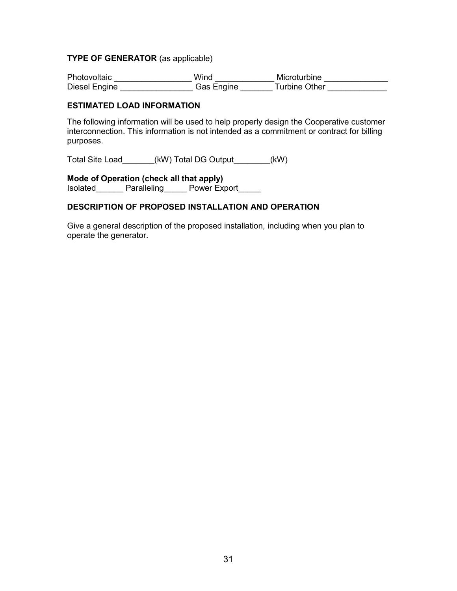#### **TYPE OF GENERATOR** (as applicable)

Photovoltaic \_\_\_\_\_\_\_\_\_\_\_\_\_\_\_\_\_\_\_\_ Wind \_\_\_\_\_\_\_\_\_\_\_\_\_ Microturbine \_\_\_\_\_\_\_\_\_\_\_\_\_\_ Diesel Engine \_\_\_\_\_\_\_\_\_\_\_\_\_\_\_\_\_\_\_Gas Engine \_\_\_\_\_\_\_ Turbine Other \_\_\_\_\_\_\_\_\_\_\_\_\_\_

#### **ESTIMATED LOAD INFORMATION**

The following information will be used to help properly design the Cooperative customer interconnection. This information is not intended as a commitment or contract for billing purposes.

Total Site Load\_\_\_\_\_\_\_(kW) Total DG Output\_\_\_\_\_\_\_\_(kW)

# **Mode of Operation (check all that apply)**

Isolated Paralleling Power Export

# **DESCRIPTION OF PROPOSED INSTALLATION AND OPERATION**

Give a general description of the proposed installation, including when you plan to operate the generator.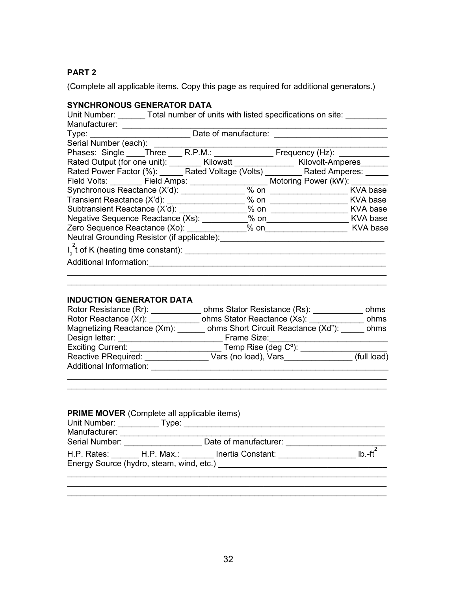# **PART 2**

(Complete all applicable items. Copy this page as required for additional generators.)

# **SYNCHRONOUS GENERATOR DATA**

| Unit Number: Total number of units with listed specifications on site:                |                      |         |                               |          |
|---------------------------------------------------------------------------------------|----------------------|---------|-------------------------------|----------|
| Manufacturer:                                                                         |                      |         |                               |          |
| Type: Type:                                                                           | Date of manufacture: |         |                               |          |
| Serial Number (each):                                                                 |                      |         |                               |          |
| Phases: Single Three R.P.M.:                                                          |                      |         | Frequency (Hz): _____________ |          |
| Rated Output (for one unit): ________ Kilowatt _______________ Kilovolt-Amperes______ |                      |         |                               |          |
| Rated Power Factor (%): Rated Voltage (Volts) Rated Amperes:                          |                      |         |                               |          |
|                                                                                       |                      |         | Motoring Power (kW):          |          |
|                                                                                       |                      |         | $%$ on $\qquad \qquad \qquad$ | KVA base |
|                                                                                       |                      |         | % on KVA base                 |          |
|                                                                                       |                      |         |                               |          |
|                                                                                       |                      |         |                               | KVA base |
| Zero Sequence Reactance (Xo):                                                         |                      | $\%$ on |                               | KVA base |
| Neutral Grounding Resistor (if applicable):                                           |                      |         |                               |          |
| $I_2^2$ t of K (heating time constant): ______                                        |                      |         |                               |          |
| Additional Information:                                                               |                      |         |                               |          |
|                                                                                       |                      |         |                               |          |

# **INDUCTION GENERATOR DATA**

| Rotor Resistance (Rr):      | ohms Stator Resistance (Rs):        | ohms        |
|-----------------------------|-------------------------------------|-------------|
| Rotor Reactance (Xr):       | ohms Stator Reactance (Xs):         | ohms        |
| Magnetizing Reactance (Xm): | ohms Short Circuit Reactance (Xd"): | ohms        |
| Design letter:              | Frame Size:                         |             |
| <b>Exciting Current:</b>    | Temp Rise (deg $C^{\circ}$ ):       |             |
| Reactive PRequired:         | Vars (no load), Vars                | (full load) |
| Additional Information:     |                                     |             |
|                             |                                     |             |

 $\mathcal{L}_\text{max}$  , and the contribution of the contribution of the contribution of the contribution of the contribution of the contribution of the contribution of the contribution of the contribution of the contribution of t

 $\_$  , and the set of the set of the set of the set of the set of the set of the set of the set of the set of the set of the set of the set of the set of the set of the set of the set of the set of the set of the set of th

| <b>PRIME MOVER</b> (Complete all applicable items) |       |                                          |                                     |  |  |
|----------------------------------------------------|-------|------------------------------------------|-------------------------------------|--|--|
| Unit Number:                                       | Type: |                                          |                                     |  |  |
| Manufacturer:                                      |       |                                          |                                     |  |  |
| Serial Number: Website Serial Number:              |       | Date of manufacturer:                    |                                     |  |  |
|                                                    |       | H.P. Rates: H.P. Max.: Inertia Constant: | $\mathsf{I}$ b $\mathsf{I}$ fr $^2$ |  |  |
| Energy Source (hydro, steam, wind, etc.)           |       |                                          |                                     |  |  |
|                                                    |       |                                          |                                     |  |  |

 $\_$ 

 $\mathcal{L}_\mathcal{L} = \mathcal{L}_\mathcal{L} = \mathcal{L}_\mathcal{L} = \mathcal{L}_\mathcal{L} = \mathcal{L}_\mathcal{L} = \mathcal{L}_\mathcal{L} = \mathcal{L}_\mathcal{L} = \mathcal{L}_\mathcal{L} = \mathcal{L}_\mathcal{L} = \mathcal{L}_\mathcal{L} = \mathcal{L}_\mathcal{L} = \mathcal{L}_\mathcal{L} = \mathcal{L}_\mathcal{L} = \mathcal{L}_\mathcal{L} = \mathcal{L}_\mathcal{L} = \mathcal{L}_\mathcal{L} = \mathcal{L}_\mathcal{L}$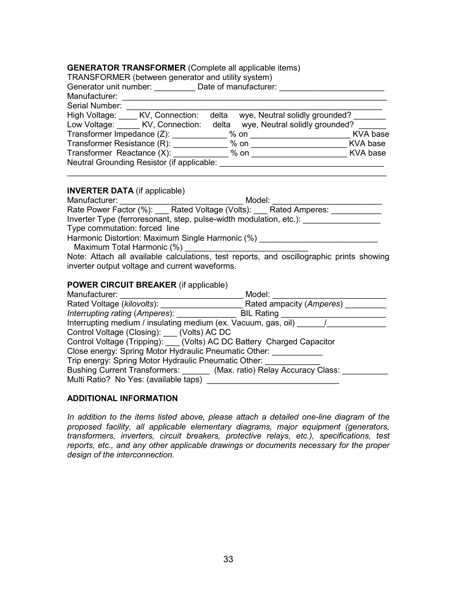#### **GENERATOR TRANSFORMER** (Complete all applicable items)

| TRANSFORMER (between generator and utility system) |                                |  |  |  |  |
|----------------------------------------------------|--------------------------------|--|--|--|--|
| Generator unit number:<br>Date of manufacturer:    |                                |  |  |  |  |
|                                                    |                                |  |  |  |  |
|                                                    |                                |  |  |  |  |
| delta                                              | wye, Neutral solidly grounded? |  |  |  |  |
| delta                                              | wye, Neutral solidly grounded? |  |  |  |  |
| Transformer Impedance (Z):<br>$%$ on               | KVA base                       |  |  |  |  |
| $%$ on                                             | KVA base                       |  |  |  |  |
| % on                                               | <b>KVA</b> base                |  |  |  |  |
| Neutral Grounding Resistor (if applicable:         |                                |  |  |  |  |
|                                                    |                                |  |  |  |  |

 $\frac{1}{2}$  ,  $\frac{1}{2}$  ,  $\frac{1}{2}$  ,  $\frac{1}{2}$  ,  $\frac{1}{2}$  ,  $\frac{1}{2}$  ,  $\frac{1}{2}$  ,  $\frac{1}{2}$  ,  $\frac{1}{2}$  ,  $\frac{1}{2}$  ,  $\frac{1}{2}$  ,  $\frac{1}{2}$  ,  $\frac{1}{2}$  ,  $\frac{1}{2}$  ,  $\frac{1}{2}$  ,  $\frac{1}{2}$  ,  $\frac{1}{2}$  ,  $\frac{1}{2}$  ,  $\frac{1$ 

#### **INVERTER DATA** (if applicable)

| Manufacturer:                                                      | Model: |
|--------------------------------------------------------------------|--------|
| Rate Power Factor (%): Rated Voltage (Volts): Rated Amperes:       |        |
| Inverter Type (ferroresonant, step, pulse-width modulation, etc.): |        |
| Type commutation: forced line                                      |        |
| Harmonic Distortion: Maximum Single Harmonic (%)                   |        |
| Maximum Total Harmonic (%)                                         |        |

Note: Attach all available calculations, test reports, and oscillographic prints showing inverter output voltage and current waveforms.

#### **POWER CIRCUIT BREAKER** (if applicable)

| Manufacturer:                                                            | Model:                   |  |  |  |
|--------------------------------------------------------------------------|--------------------------|--|--|--|
| Rated Voltage (kilovolts):                                               | Rated ampacity (Amperes) |  |  |  |
| Interrupting rating (Amperes):                                           | <b>BIL Rating</b>        |  |  |  |
| Interrupting medium / insulating medium (ex. Vacuum, gas, oil)           |                          |  |  |  |
| Control Voltage (Closing): ___ (Volts) AC DC                             |                          |  |  |  |
| Control Voltage (Tripping): ____ (Volts) AC DC Battery Charged Capacitor |                          |  |  |  |
| Close energy: Spring Motor Hydraulic Pneumatic Other:                    |                          |  |  |  |
| Trip energy: Spring Motor Hydraulic Pneumatic Other:                     |                          |  |  |  |
| Bushing Current Transformers: _______ (Max. ratio) Relay Accuracy Class: |                          |  |  |  |
| Multi Ratio? No Yes: (available taps)                                    |                          |  |  |  |

#### **ADDITIONAL INFORMATION**

*In addition to the items listed above, please attach a detailed one-line diagram of the proposed facility, all applicable elementary diagrams, major equipment (generators, transformers, inverters, circuit breakers, protective relays, etc.), specifications, test reports, etc., and any other applicable drawings or documents necessary for the proper design of the interconnection.*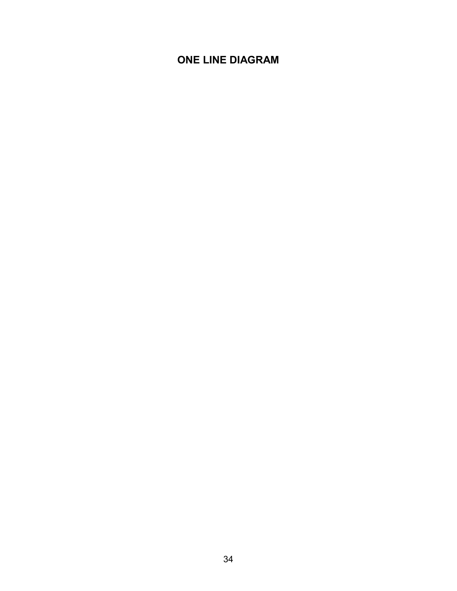# **ONE LINE DIAGRAM**